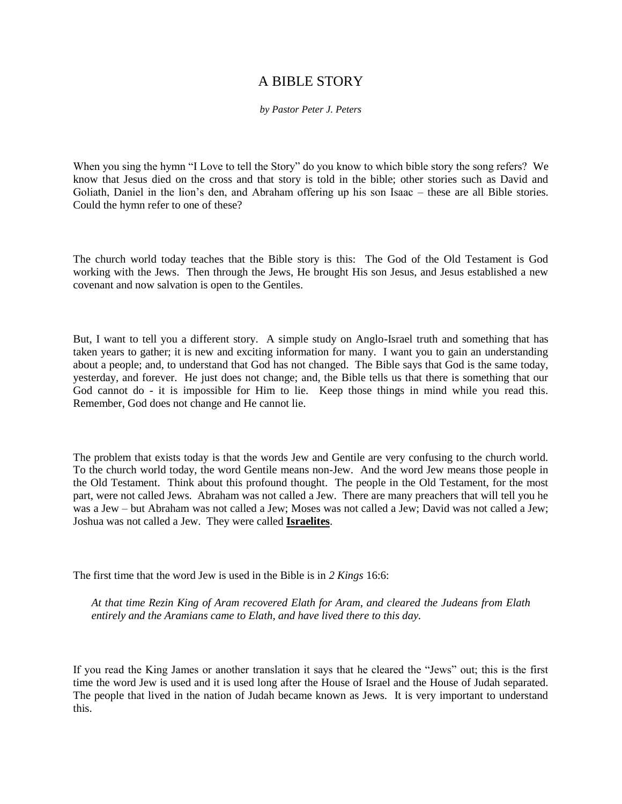## A BIBLE STORY

*by Pastor Peter J. Peters*

When you sing the hymn "I Love to tell the Story" do you know to which bible story the song refers? We know that Jesus died on the cross and that story is told in the bible; other stories such as David and Goliath, Daniel in the lion's den, and Abraham offering up his son Isaac – these are all Bible stories. Could the hymn refer to one of these?

The church world today teaches that the Bible story is this: The God of the Old Testament is God working with the Jews. Then through the Jews, He brought His son Jesus, and Jesus established a new covenant and now salvation is open to the Gentiles.

But, I want to tell you a different story. A simple study on Anglo-Israel truth and something that has taken years to gather; it is new and exciting information for many. I want you to gain an understanding about a people; and, to understand that God has not changed. The Bible says that God is the same today, yesterday, and forever. He just does not change; and, the Bible tells us that there is something that our God cannot do - it is impossible for Him to lie. Keep those things in mind while you read this. Remember, God does not change and He cannot lie.

The problem that exists today is that the words Jew and Gentile are very confusing to the church world. To the church world today, the word Gentile means non-Jew. And the word Jew means those people in the Old Testament. Think about this profound thought. The people in the Old Testament, for the most part, were not called Jews. Abraham was not called a Jew. There are many preachers that will tell you he was a Jew – but Abraham was not called a Jew; Moses was not called a Jew; David was not called a Jew; Joshua was not called a Jew. They were called **Israelites**.

The first time that the word Jew is used in the Bible is in *2 Kings* 16:6:

*At that time Rezin King of Aram recovered Elath for Aram, and cleared the Judeans from Elath entirely and the Aramians came to Elath, and have lived there to this day.*

If you read the King James or another translation it says that he cleared the "Jews" out; this is the first time the word Jew is used and it is used long after the House of Israel and the House of Judah separated. The people that lived in the nation of Judah became known as Jews. It is very important to understand this.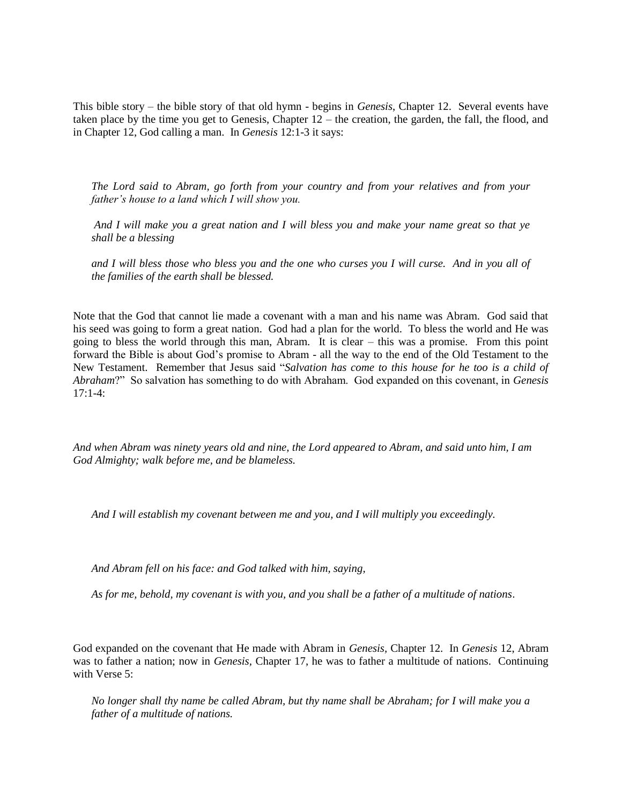This bible story – the bible story of that old hymn - begins in *Genesis*, Chapter 12. Several events have taken place by the time you get to Genesis, Chapter 12 – the creation, the garden, the fall, the flood, and in Chapter 12, God calling a man. In *Genesis* 12:1-3 it says:

*The Lord said to Abram, go forth from your country and from your relatives and from your father's house to a land which I will show you.* 

*And I will make you a great nation and I will bless you and make your name great so that ye shall be a blessing* 

*and I will bless those who bless you and the one who curses you I will curse. And in you all of the families of the earth shall be blessed.* 

Note that the God that cannot lie made a covenant with a man and his name was Abram. God said that his seed was going to form a great nation. God had a plan for the world. To bless the world and He was going to bless the world through this man, Abram. It is clear – this was a promise. From this point forward the Bible is about God's promise to Abram - all the way to the end of the Old Testament to the New Testament. Remember that Jesus said "*Salvation has come to this house for he too is a child of Abraham*?" So salvation has something to do with Abraham. God expanded on this covenant, in *Genesis*   $17.1 - 4$ 

*And when Abram was ninety years old and nine, the Lord appeared to Abram, and said unto him, I am God Almighty; walk before me, and be blameless.*

*And I will establish my covenant between me and you, and I will multiply you exceedingly.*

*And Abram fell on his face: and God talked with him, saying,*

*As for me, behold, my covenant is with you, and you shall be a father of a multitude of nations*.

God expanded on the covenant that He made with Abram in *Genesis,* Chapter 12. In *Genesis* 12, Abram was to father a nation; now in *Genesis,* Chapter 17, he was to father a multitude of nations. Continuing with Verse 5:

*No longer shall thy name be called Abram, but thy name shall be Abraham; for I will make you a father of a multitude of nations.*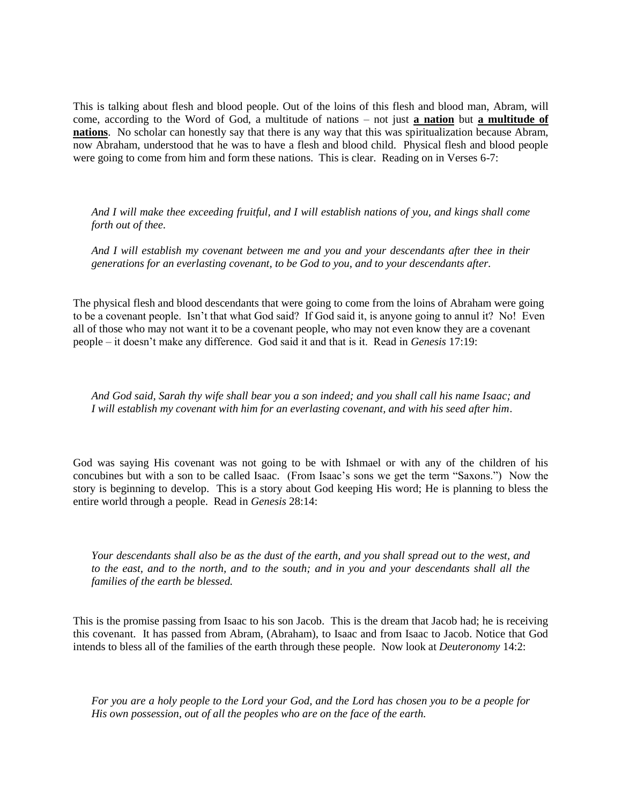This is talking about flesh and blood people. Out of the loins of this flesh and blood man, Abram, will come, according to the Word of God, a multitude of nations – not just **a nation** but **a multitude of nations**. No scholar can honestly say that there is any way that this was spiritualization because Abram, now Abraham, understood that he was to have a flesh and blood child. Physical flesh and blood people were going to come from him and form these nations. This is clear. Reading on in Verses 6-7:

*And I will make thee exceeding fruitful, and I will establish nations of you, and kings shall come forth out of thee.*

*And I will establish my covenant between me and you and your descendants after thee in their generations for an everlasting covenant, to be God to you, and to your descendants after.*

The physical flesh and blood descendants that were going to come from the loins of Abraham were going to be a covenant people. Isn't that what God said? If God said it, is anyone going to annul it? No! Even all of those who may not want it to be a covenant people, who may not even know they are a covenant people – it doesn't make any difference. God said it and that is it. Read in *Genesis* 17:19:

*And God said, Sarah thy wife shall bear you a son indeed; and you shall call his name Isaac; and I will establish my covenant with him for an everlasting covenant, and with his seed after him*.

God was saying His covenant was not going to be with Ishmael or with any of the children of his concubines but with a son to be called Isaac. (From Isaac's sons we get the term "Saxons.") Now the story is beginning to develop. This is a story about God keeping His word; He is planning to bless the entire world through a people. Read in *Genesis* 28:14:

*Your descendants shall also be as the dust of the earth, and you shall spread out to the west, and to the east, and to the north, and to the south; and in you and your descendants shall all the families of the earth be blessed.*

This is the promise passing from Isaac to his son Jacob. This is the dream that Jacob had; he is receiving this covenant. It has passed from Abram, (Abraham), to Isaac and from Isaac to Jacob. Notice that God intends to bless all of the families of the earth through these people. Now look at *Deuteronomy* 14:2:

*For you are a holy people to the Lord your God, and the Lord has chosen you to be a people for His own possession, out of all the peoples who are on the face of the earth.*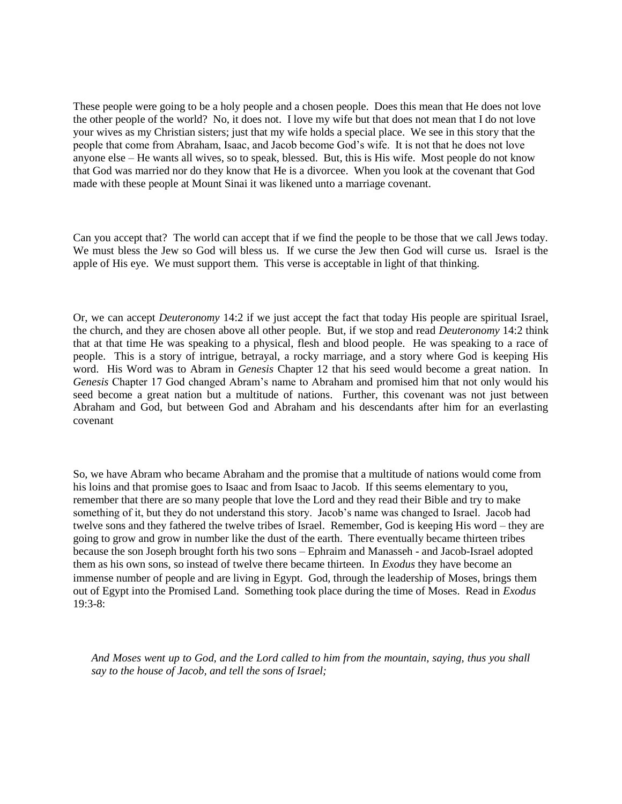These people were going to be a holy people and a chosen people. Does this mean that He does not love the other people of the world? No, it does not. I love my wife but that does not mean that I do not love your wives as my Christian sisters; just that my wife holds a special place. We see in this story that the people that come from Abraham, Isaac, and Jacob become God's wife. It is not that he does not love anyone else – He wants all wives, so to speak, blessed. But, this is His wife. Most people do not know that God was married nor do they know that He is a divorcee. When you look at the covenant that God made with these people at Mount Sinai it was likened unto a marriage covenant.

Can you accept that? The world can accept that if we find the people to be those that we call Jews today. We must bless the Jew so God will bless us. If we curse the Jew then God will curse us. Israel is the apple of His eye. We must support them. This verse is acceptable in light of that thinking.

Or, we can accept *Deuteronomy* 14:2 if we just accept the fact that today His people are spiritual Israel, the church, and they are chosen above all other people. But, if we stop and read *Deuteronomy* 14:2 think that at that time He was speaking to a physical, flesh and blood people. He was speaking to a race of people. This is a story of intrigue, betrayal, a rocky marriage, and a story where God is keeping His word. His Word was to Abram in *Genesis* Chapter 12 that his seed would become a great nation. In *Genesis* Chapter 17 God changed Abram's name to Abraham and promised him that not only would his seed become a great nation but a multitude of nations. Further, this covenant was not just between Abraham and God, but between God and Abraham and his descendants after him for an everlasting covenant

So, we have Abram who became Abraham and the promise that a multitude of nations would come from his loins and that promise goes to Isaac and from Isaac to Jacob. If this seems elementary to you, remember that there are so many people that love the Lord and they read their Bible and try to make something of it, but they do not understand this story. Jacob's name was changed to Israel. Jacob had twelve sons and they fathered the twelve tribes of Israel. Remember, God is keeping His word – they are going to grow and grow in number like the dust of the earth. There eventually became thirteen tribes because the son Joseph brought forth his two sons – Ephraim and Manasseh - and Jacob-Israel adopted them as his own sons, so instead of twelve there became thirteen. In *Exodus* they have become an immense number of people and are living in Egypt. God, through the leadership of Moses, brings them out of Egypt into the Promised Land. Something took place during the time of Moses. Read in *Exodus* 19:3-8:

*And Moses went up to God, and the Lord called to him from the mountain, saying, thus you shall say to the house of Jacob, and tell the sons of Israel;*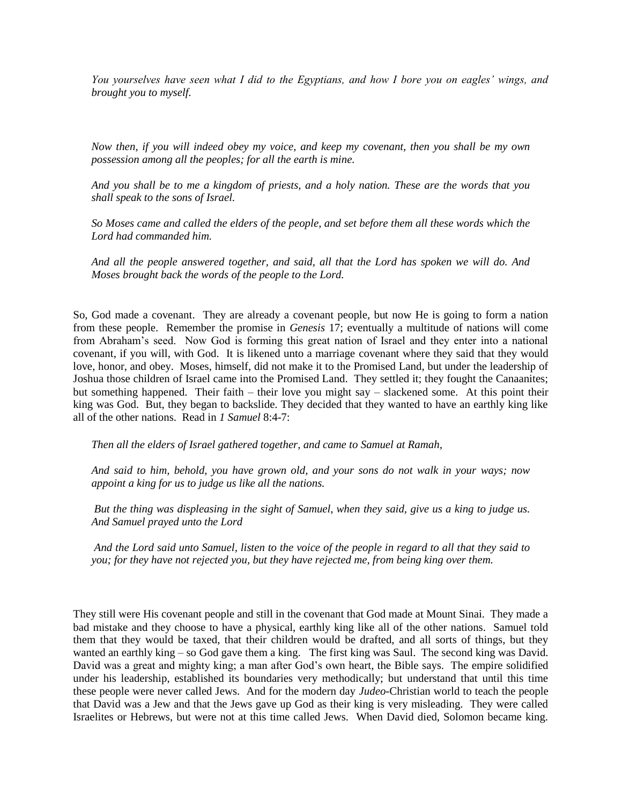*You yourselves have seen what I did to the Egyptians, and how I bore you on eagles' wings, and brought you to myself.*

*Now then, if you will indeed obey my voice, and keep my covenant, then you shall be my own possession among all the peoples; for all the earth is mine.*

*And you shall be to me a kingdom of priests, and a holy nation. These are the words that you shall speak to the sons of Israel.*

*So Moses came and called the elders of the people, and set before them all these words which the Lord had commanded him.*

*And all the people answered together, and said, all that the Lord has spoken we will do. And Moses brought back the words of the people to the Lord.*

So, God made a covenant. They are already a covenant people, but now He is going to form a nation from these people. Remember the promise in *Genesis* 17; eventually a multitude of nations will come from Abraham's seed. Now God is forming this great nation of Israel and they enter into a national covenant, if you will, with God. It is likened unto a marriage covenant where they said that they would love, honor, and obey. Moses, himself, did not make it to the Promised Land, but under the leadership of Joshua those children of Israel came into the Promised Land. They settled it; they fought the Canaanites; but something happened. Their faith – their love you might say – slackened some. At this point their king was God. But, they began to backslide. They decided that they wanted to have an earthly king like all of the other nations. Read in *1 Samuel* 8:4-7:

*Then all the elders of Israel gathered together, and came to Samuel at Ramah,*

*And said to him, behold, you have grown old, and your sons do not walk in your ways; now appoint a king for us to judge us like all the nations.*

*But the thing was displeasing in the sight of Samuel, when they said, give us a king to judge us. And Samuel prayed unto the Lord*

*And the Lord said unto Samuel, listen to the voice of the people in regard to all that they said to you; for they have not rejected you, but they have rejected me, from being king over them.*

They still were His covenant people and still in the covenant that God made at Mount Sinai. They made a bad mistake and they choose to have a physical, earthly king like all of the other nations. Samuel told them that they would be taxed, that their children would be drafted, and all sorts of things, but they wanted an earthly king – so God gave them a king. The first king was Saul. The second king was David. David was a great and mighty king; a man after God's own heart, the Bible says. The empire solidified under his leadership, established its boundaries very methodically; but understand that until this time these people were never called Jews. And for the modern day *Judeo-*Christian world to teach the people that David was a Jew and that the Jews gave up God as their king is very misleading. They were called Israelites or Hebrews, but were not at this time called Jews. When David died, Solomon became king.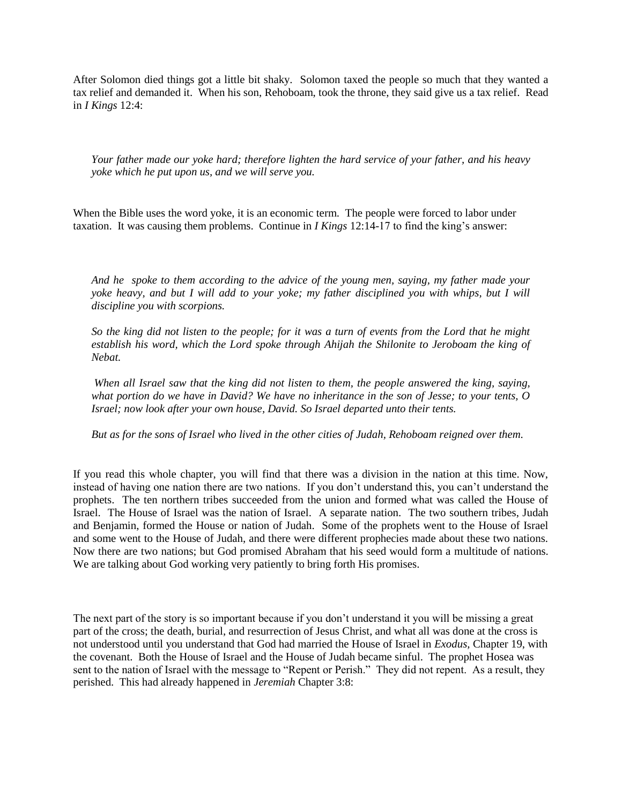After Solomon died things got a little bit shaky. Solomon taxed the people so much that they wanted a tax relief and demanded it. When his son, Rehoboam, took the throne, they said give us a tax relief. Read in *I Kings* 12:4:

*Your father made our yoke hard; therefore lighten the hard service of your father, and his heavy yoke which he put upon us, and we will serve you.*

When the Bible uses the word yoke, it is an economic term. The people were forced to labor under taxation. It was causing them problems. Continue in *I Kings* 12:14-17 to find the king's answer:

*And he spoke to them according to the advice of the young men, saying, my father made your yoke heavy, and but I will add to your yoke; my father disciplined you with whips, but I will discipline you with scorpions.*

*So the king did not listen to the people; for it was a turn of events from the Lord that he might establish his word, which the Lord spoke through Ahijah the Shilonite to Jeroboam the king of Nebat.*

*When all Israel saw that the king did not listen to them, the people answered the king, saying, what portion do we have in David? We have no inheritance in the son of Jesse; to your tents, O Israel; now look after your own house, David. So Israel departed unto their tents.*

*But as for the sons of Israel who lived in the other cities of Judah, Rehoboam reigned over them.*

If you read this whole chapter, you will find that there was a division in the nation at this time. Now, instead of having one nation there are two nations. If you don't understand this, you can't understand the prophets. The ten northern tribes succeeded from the union and formed what was called the House of Israel. The House of Israel was the nation of Israel. A separate nation. The two southern tribes, Judah and Benjamin, formed the House or nation of Judah. Some of the prophets went to the House of Israel and some went to the House of Judah, and there were different prophecies made about these two nations. Now there are two nations; but God promised Abraham that his seed would form a multitude of nations. We are talking about God working very patiently to bring forth His promises.

The next part of the story is so important because if you don't understand it you will be missing a great part of the cross; the death, burial, and resurrection of Jesus Christ, and what all was done at the cross is not understood until you understand that God had married the House of Israel in *Exodus,* Chapter 19, with the covenant. Both the House of Israel and the House of Judah became sinful. The prophet Hosea was sent to the nation of Israel with the message to "Repent or Perish." They did not repent. As a result, they perished. This had already happened in *Jeremiah* Chapter 3:8: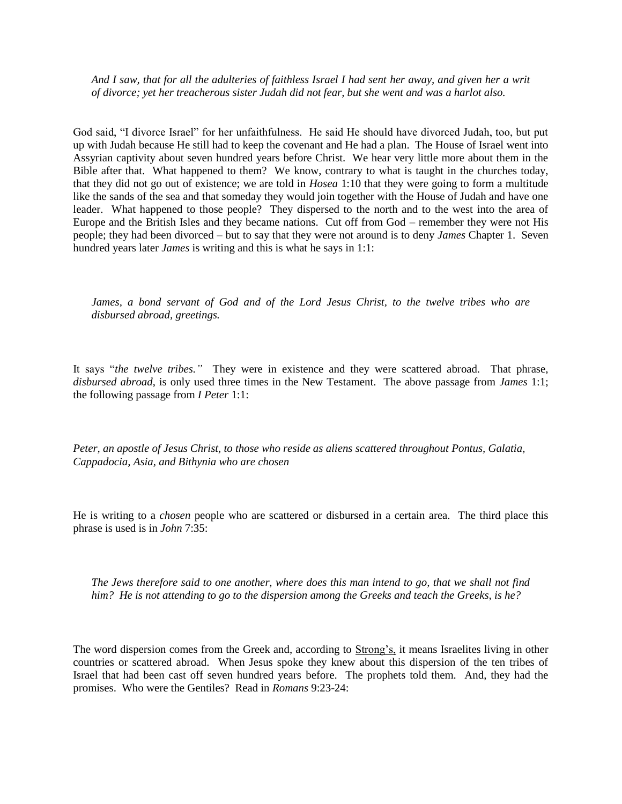*And I saw, that for all the adulteries of faithless Israel I had sent her away, and given her a writ of divorce; yet her treacherous sister Judah did not fear, but she went and was a harlot also.*

God said, "I divorce Israel" for her unfaithfulness. He said He should have divorced Judah, too, but put up with Judah because He still had to keep the covenant and He had a plan. The House of Israel went into Assyrian captivity about seven hundred years before Christ. We hear very little more about them in the Bible after that. What happened to them? We know, contrary to what is taught in the churches today, that they did not go out of existence; we are told in *Hosea* 1:10 that they were going to form a multitude like the sands of the sea and that someday they would join together with the House of Judah and have one leader. What happened to those people? They dispersed to the north and to the west into the area of Europe and the British Isles and they became nations. Cut off from God – remember they were not His people; they had been divorced – but to say that they were not around is to deny *James* Chapter 1. Seven hundred years later *James* is writing and this is what he says in 1:1:

*James, a bond servant of God and of the Lord Jesus Christ, to the twelve tribes who are disbursed abroad, greetings.*

It says "*the twelve tribes."* They were in existence and they were scattered abroad. That phrase, *disbursed abroad*, is only used three times in the New Testament. The above passage from *James* 1:1; the following passage from *I Peter* 1:1:

*Peter, an apostle of Jesus Christ, to those who reside as aliens scattered throughout Pontus, Galatia, Cappadocia, Asia, and Bithynia who are chosen*

He is writing to a *chosen* people who are scattered or disbursed in a certain area. The third place this phrase is used is in *John* 7:35:

*The Jews therefore said to one another, where does this man intend to go, that we shall not find him? He is not attending to go to the dispersion among the Greeks and teach the Greeks, is he?*

The word dispersion comes from the Greek and, according to Strong's, it means Israelites living in other countries or scattered abroad. When Jesus spoke they knew about this dispersion of the ten tribes of Israel that had been cast off seven hundred years before. The prophets told them. And, they had the promises. Who were the Gentiles? Read in *Romans* 9:23-24: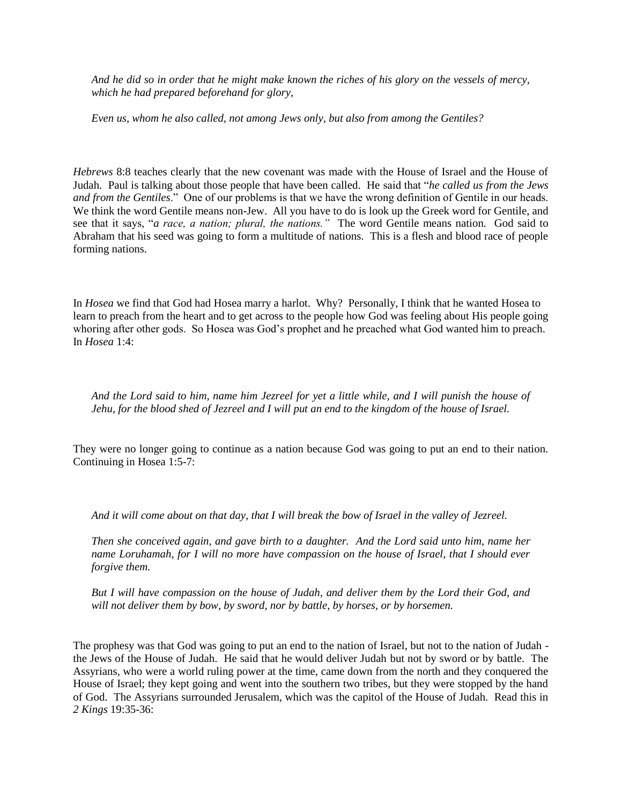*And he did so in order that he might make known the riches of his glory on the vessels of mercy, which he had prepared beforehand for glory,*

*Even us, whom he also called, not among Jews only, but also from among the Gentiles?*

*Hebrews* 8:8 teaches clearly that the new covenant was made with the House of Israel and the House of Judah. Paul is talking about those people that have been called. He said that "*he called us from the Jews and from the Gentiles*." One of our problems is that we have the wrong definition of Gentile in our heads. We think the word Gentile means non-Jew. All you have to do is look up the Greek word for Gentile, and see that it says, "*a race, a nation; plural, the nations."* The word Gentile means nation. God said to Abraham that his seed was going to form a multitude of nations. This is a flesh and blood race of people forming nations.

In *Hosea* we find that God had Hosea marry a harlot. Why? Personally, I think that he wanted Hosea to learn to preach from the heart and to get across to the people how God was feeling about His people going whoring after other gods. So Hosea was God's prophet and he preached what God wanted him to preach. In *Hosea* 1:4:

*And the Lord said to him, name him Jezreel for yet a little while, and I will punish the house of Jehu, for the blood shed of Jezreel and I will put an end to the kingdom of the house of Israel.*

They were no longer going to continue as a nation because God was going to put an end to their nation. Continuing in Hosea 1:5-7:

*And it will come about on that day, that I will break the bow of Israel in the valley of Jezreel.*

*Then she conceived again, and gave birth to a daughter. And the Lord said unto him, name her name Loruhamah, for I will no more have compassion on the house of Israel, that I should ever forgive them.*

*But I will have compassion on the house of Judah, and deliver them by the Lord their God, and will not deliver them by bow, by sword, nor by battle, by horses, or by horsemen.*

The prophesy was that God was going to put an end to the nation of Israel, but not to the nation of Judah the Jews of the House of Judah. He said that he would deliver Judah but not by sword or by battle. The Assyrians, who were a world ruling power at the time, came down from the north and they conquered the House of Israel; they kept going and went into the southern two tribes, but they were stopped by the hand of God. The Assyrians surrounded Jerusalem, which was the capitol of the House of Judah. Read this in *2 Kings* 19:35-36: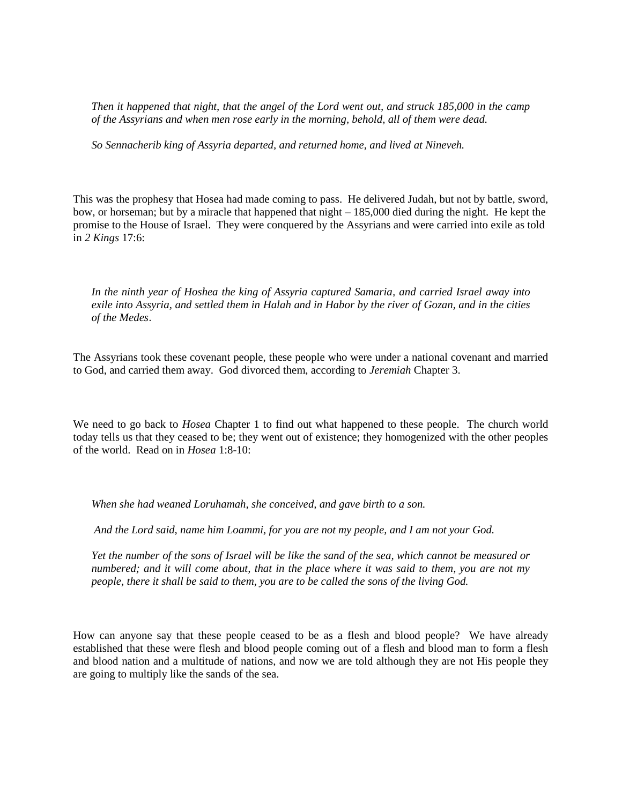*Then it happened that night, that the angel of the Lord went out, and struck 185,000 in the camp of the Assyrians and when men rose early in the morning, behold, all of them were dead.*

*So Sennacherib king of Assyria departed, and returned home, and lived at Nineveh.*

This was the prophesy that Hosea had made coming to pass. He delivered Judah, but not by battle, sword, bow, or horseman; but by a miracle that happened that night – 185,000 died during the night. He kept the promise to the House of Israel. They were conquered by the Assyrians and were carried into exile as told in *2 Kings* 17:6:

*In the ninth year of Hoshea the king of Assyria captured Samaria*, *and carried Israel away into exile into Assyria, and settled them in Halah and in Habor by the river of Gozan, and in the cities of the Medes*.

The Assyrians took these covenant people, these people who were under a national covenant and married to God, and carried them away. God divorced them, according to *Jeremiah* Chapter 3.

We need to go back to *Hosea* Chapter 1 to find out what happened to these people. The church world today tells us that they ceased to be; they went out of existence; they homogenized with the other peoples of the world. Read on in *Hosea* 1:8-10:

*When she had weaned Loruhamah, she conceived, and gave birth to a son.*

*And the Lord said, name him Loammi, for you are not my people, and I am not your God.*

*Yet the number of the sons of Israel will be like the sand of the sea, which cannot be measured or numbered; and it will come about, that in the place where it was said to them, you are not my people, there it shall be said to them, you are to be called the sons of the living God.*

How can anyone say that these people ceased to be as a flesh and blood people? We have already established that these were flesh and blood people coming out of a flesh and blood man to form a flesh and blood nation and a multitude of nations, and now we are told although they are not His people they are going to multiply like the sands of the sea.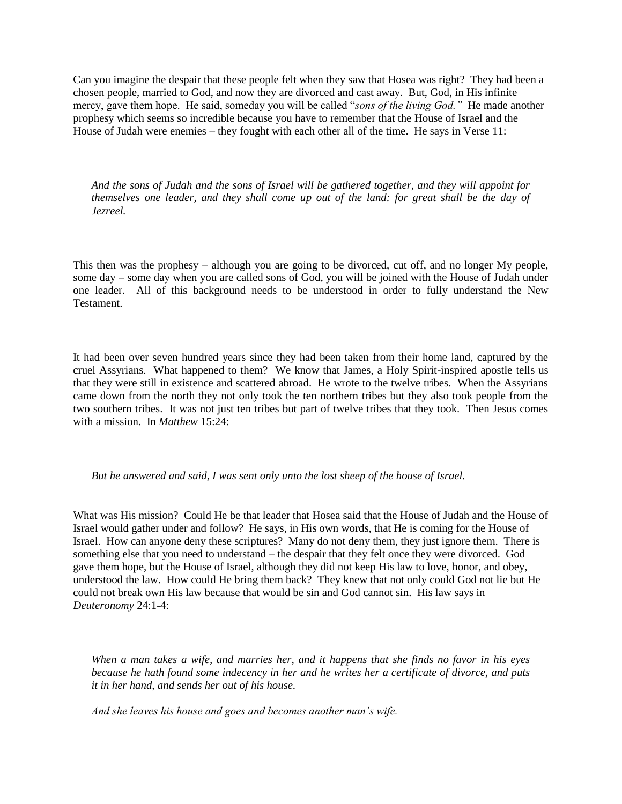Can you imagine the despair that these people felt when they saw that Hosea was right? They had been a chosen people, married to God, and now they are divorced and cast away. But, God, in His infinite mercy, gave them hope. He said, someday you will be called "*sons of the living God."* He made another prophesy which seems so incredible because you have to remember that the House of Israel and the House of Judah were enemies – they fought with each other all of the time. He says in Verse 11:

*And the sons of Judah and the sons of Israel will be gathered together, and they will appoint for themselves one leader, and they shall come up out of the land: for great shall be the day of Jezreel.*

This then was the prophesy – although you are going to be divorced, cut off, and no longer My people, some day – some day when you are called sons of God, you will be joined with the House of Judah under one leader. All of this background needs to be understood in order to fully understand the New Testament.

It had been over seven hundred years since they had been taken from their home land, captured by the cruel Assyrians. What happened to them? We know that James, a Holy Spirit-inspired apostle tells us that they were still in existence and scattered abroad. He wrote to the twelve tribes. When the Assyrians came down from the north they not only took the ten northern tribes but they also took people from the two southern tribes. It was not just ten tribes but part of twelve tribes that they took. Then Jesus comes with a mission. In *Matthew* 15:24:

*But he answered and said, I was sent only unto the lost sheep of the house of Israel.*

What was His mission? Could He be that leader that Hosea said that the House of Judah and the House of Israel would gather under and follow? He says, in His own words, that He is coming for the House of Israel. How can anyone deny these scriptures? Many do not deny them, they just ignore them. There is something else that you need to understand – the despair that they felt once they were divorced. God gave them hope, but the House of Israel, although they did not keep His law to love, honor, and obey, understood the law. How could He bring them back? They knew that not only could God not lie but He could not break own His law because that would be sin and God cannot sin. His law says in *Deuteronomy* 24:1-4:

*When a man takes a wife, and marries her, and it happens that she finds no favor in his eyes because he hath found some indecency in her and he writes her a certificate of divorce, and puts it in her hand, and sends her out of his house.*

*And she leaves his house and goes and becomes another man's wife.*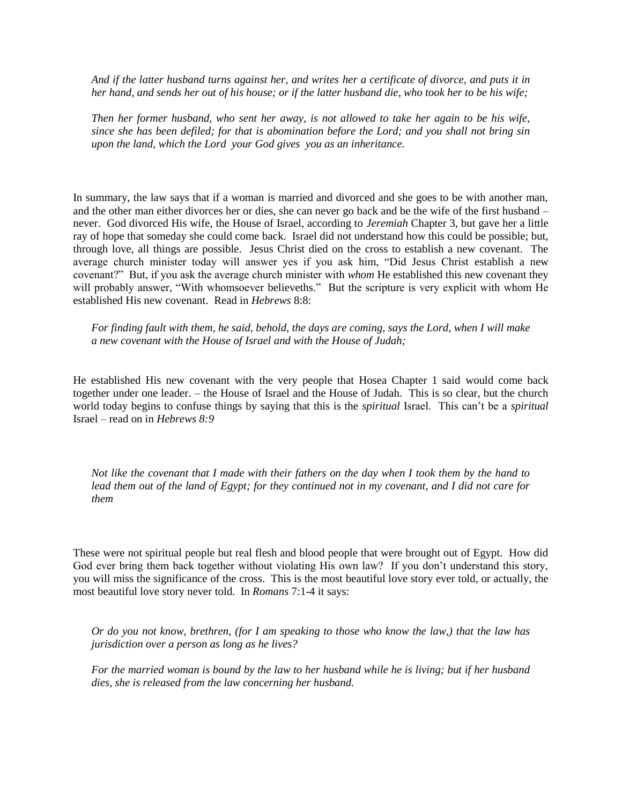*And if the latter husband turns against her, and writes her a certificate of divorce, and puts it in her hand, and sends her out of his house; or if the latter husband die, who took her to be his wife;*

*Then her former husband, who sent her away, is not allowed to take her again to be his wife, since she has been defiled; for that is abomination before the Lord; and you shall not bring sin upon the land, which the Lord your God gives you as an inheritance.*

In summary, the law says that if a woman is married and divorced and she goes to be with another man, and the other man either divorces her or dies, she can never go back and be the wife of the first husband – never. God divorced His wife, the House of Israel, according to *Jeremiah* Chapter 3, but gave her a little ray of hope that someday she could come back. Israel did not understand how this could be possible; but, through love, all things are possible. Jesus Christ died on the cross to establish a new covenant. The average church minister today will answer yes if you ask him, "Did Jesus Christ establish a new covenant?" But, if you ask the average church minister with *whom* He established this new covenant they will probably answer, "With whomsoever believeths." But the scripture is very explicit with whom He established His new covenant. Read in *Hebrews* 8:8:

*For finding fault with them, he said, behold, the days are coming, says the Lord, when I will make a new covenant with the House of Israel and with the House of Judah;*

He established His new covenant with the very people that Hosea Chapter 1 said would come back together under one leader. – the House of Israel and the House of Judah. This is so clear, but the church world today begins to confuse things by saying that this is the *spiritual* Israel. This can't be a *spiritual*  Israel – read on in *Hebrews 8:9*

*Not like the covenant that I made with their fathers on the day when I took them by the hand to lead them out of the land of Egypt; for they continued not in my covenant, and I did not care for them* 

These were not spiritual people but real flesh and blood people that were brought out of Egypt. How did God ever bring them back together without violating His own law? If you don't understand this story, you will miss the significance of the cross. This is the most beautiful love story ever told, or actually, the most beautiful love story never told*.* In *Romans* 7:1-4 it says:

*Or do you not know, brethren, (for I am speaking to those who know the law,) that the law has jurisdiction over a person as long as he lives?*

*For the married woman is bound by the law to her husband while he is living; but if her husband dies, she is released from the law concerning her husband.*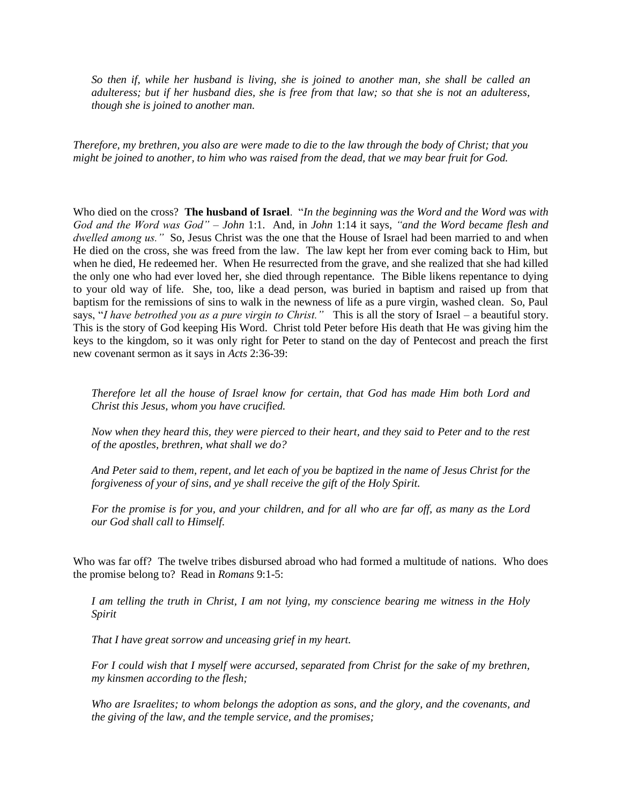*So then if, while her husband is living, she is joined to another man, she shall be called an adulteress; but if her husband dies, she is free from that law; so that she is not an adulteress, though she is joined to another man.*

*Therefore, my brethren, you also are were made to die to the law through the body of Christ; that you might be joined to another, to him who was raised from the dead, that we may bear fruit for God.*

Who died on the cross? **The husband of Israel**. "*In the beginning was the Word and the Word was with God and the Word was God"* – *John* 1:1. And, in *John* 1:14 it says, *"and the Word became flesh and dwelled among us."* So, Jesus Christ was the one that the House of Israel had been married to and when He died on the cross, she was freed from the law. The law kept her from ever coming back to Him, but when he died, He redeemed her. When He resurrected from the grave, and she realized that she had killed the only one who had ever loved her, she died through repentance. The Bible likens repentance to dying to your old way of life. She, too, like a dead person, was buried in baptism and raised up from that baptism for the remissions of sins to walk in the newness of life as a pure virgin, washed clean. So, Paul says, "*I have betrothed you as a pure virgin to Christ."* This is all the story of Israel – a beautiful story. This is the story of God keeping His Word. Christ told Peter before His death that He was giving him the keys to the kingdom, so it was only right for Peter to stand on the day of Pentecost and preach the first new covenant sermon as it says in *Acts* 2:36-39:

*Therefore let all the house of Israel know for certain, that God has made Him both Lord and Christ this Jesus, whom you have crucified.*

*Now when they heard this, they were pierced to their heart, and they said to Peter and to the rest of the apostles, brethren, what shall we do?*

*And Peter said to them, repent, and let each of you be baptized in the name of Jesus Christ for the forgiveness of your of sins, and ye shall receive the gift of the Holy Spirit.*

*For the promise is for you, and your children, and for all who are far off, as many as the Lord our God shall call to Himself.*

Who was far off? The twelve tribes disbursed abroad who had formed a multitude of nations. Who does the promise belong to? Read in *Romans* 9:1-5:

*I am telling the truth in Christ, I am not lying, my conscience bearing me witness in the Holy Spirit*

*That I have great sorrow and unceasing grief in my heart.*

*For I could wish that I myself were accursed, separated from Christ for the sake of my brethren, my kinsmen according to the flesh;*

*Who are Israelites; to whom belongs the adoption as sons, and the glory, and the covenants, and the giving of the law, and the temple service, and the promises;*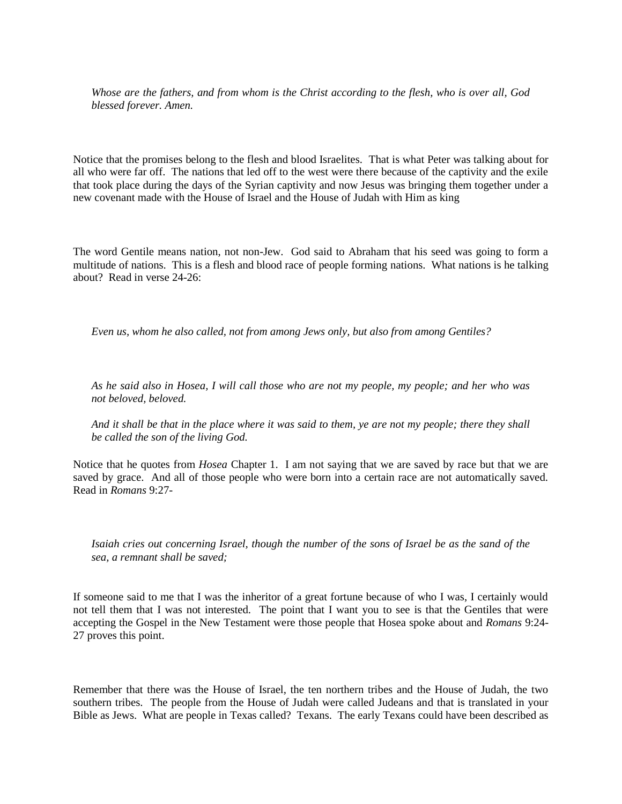*Whose are the fathers, and from whom is the Christ according to the flesh, who is over all, God blessed forever. Amen.*

Notice that the promises belong to the flesh and blood Israelites. That is what Peter was talking about for all who were far off. The nations that led off to the west were there because of the captivity and the exile that took place during the days of the Syrian captivity and now Jesus was bringing them together under a new covenant made with the House of Israel and the House of Judah with Him as king

The word Gentile means nation, not non-Jew. God said to Abraham that his seed was going to form a multitude of nations. This is a flesh and blood race of people forming nations. What nations is he talking about? Read in verse 24-26:

*Even us, whom he also called, not from among Jews only, but also from among Gentiles?*

*As he said also in Hosea, I will call those who are not my people, my people; and her who was not beloved, beloved.*

*And it shall be that in the place where it was said to them, ye are not my people; there they shall be called the son of the living God.*

Notice that he quotes from *Hosea* Chapter 1. I am not saying that we are saved by race but that we are saved by grace. And all of those people who were born into a certain race are not automatically saved. Read in *Romans* 9:27-

*Isaiah cries out concerning Israel, though the number of the sons of Israel be as the sand of the sea, a remnant shall be saved;*

If someone said to me that I was the inheritor of a great fortune because of who I was, I certainly would not tell them that I was not interested. The point that I want you to see is that the Gentiles that were accepting the Gospel in the New Testament were those people that Hosea spoke about and *Romans* 9:24- 27 proves this point.

Remember that there was the House of Israel, the ten northern tribes and the House of Judah, the two southern tribes. The people from the House of Judah were called Judeans and that is translated in your Bible as Jews. What are people in Texas called? Texans. The early Texans could have been described as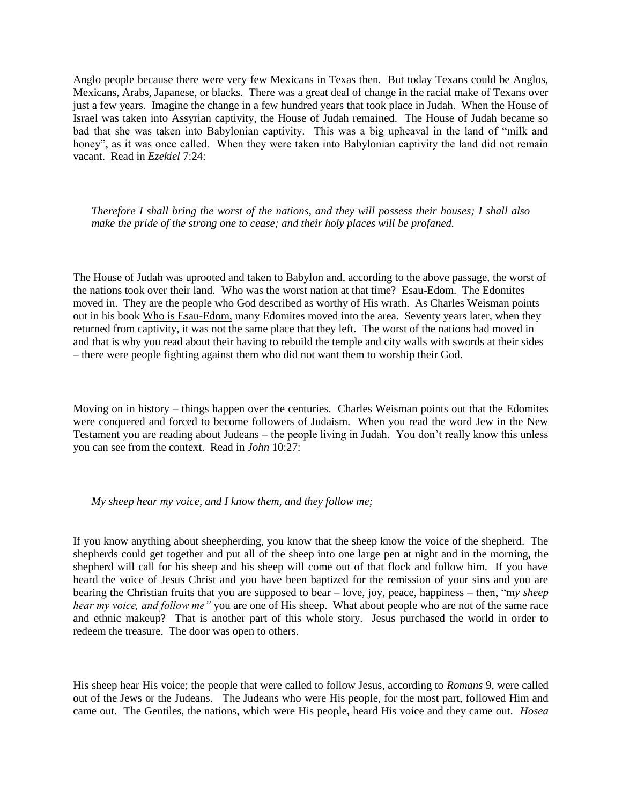Anglo people because there were very few Mexicans in Texas then. But today Texans could be Anglos, Mexicans, Arabs, Japanese, or blacks. There was a great deal of change in the racial make of Texans over just a few years. Imagine the change in a few hundred years that took place in Judah. When the House of Israel was taken into Assyrian captivity, the House of Judah remained. The House of Judah became so bad that she was taken into Babylonian captivity. This was a big upheaval in the land of "milk and honey", as it was once called. When they were taken into Babylonian captivity the land did not remain vacant. Read in *Ezekiel* 7:24:

*Therefore I shall bring the worst of the nations, and they will possess their houses; I shall also make the pride of the strong one to cease; and their holy places will be profaned.*

The House of Judah was uprooted and taken to Babylon and, according to the above passage, the worst of the nations took over their land. Who was the worst nation at that time? Esau-Edom. The Edomites moved in. They are the people who God described as worthy of His wrath. As Charles Weisman points out in his book Who is Esau-Edom, many Edomites moved into the area. Seventy years later, when they returned from captivity, it was not the same place that they left. The worst of the nations had moved in and that is why you read about their having to rebuild the temple and city walls with swords at their sides – there were people fighting against them who did not want them to worship their God.

Moving on in history – things happen over the centuries. Charles Weisman points out that the Edomites were conquered and forced to become followers of Judaism. When you read the word Jew in the New Testament you are reading about Judeans – the people living in Judah. You don't really know this unless you can see from the context. Read in *John* 10:27:

## *My sheep hear my voice, and I know them, and they follow me;*

If you know anything about sheepherding, you know that the sheep know the voice of the shepherd. The shepherds could get together and put all of the sheep into one large pen at night and in the morning, the shepherd will call for his sheep and his sheep will come out of that flock and follow him. If you have heard the voice of Jesus Christ and you have been baptized for the remission of your sins and you are bearing the Christian fruits that you are supposed to bear – love, joy, peace, happiness – then, "m*y sheep hear my voice, and follow me"* you are one of His sheep. What about people who are not of the same race and ethnic makeup? That is another part of this whole story. Jesus purchased the world in order to redeem the treasure. The door was open to others.

His sheep hear His voice; the people that were called to follow Jesus, according to *Romans* 9, were called out of the Jews or the Judeans. The Judeans who were His people, for the most part, followed Him and came out. The Gentiles, the nations, which were His people, heard His voice and they came out. *Hosea*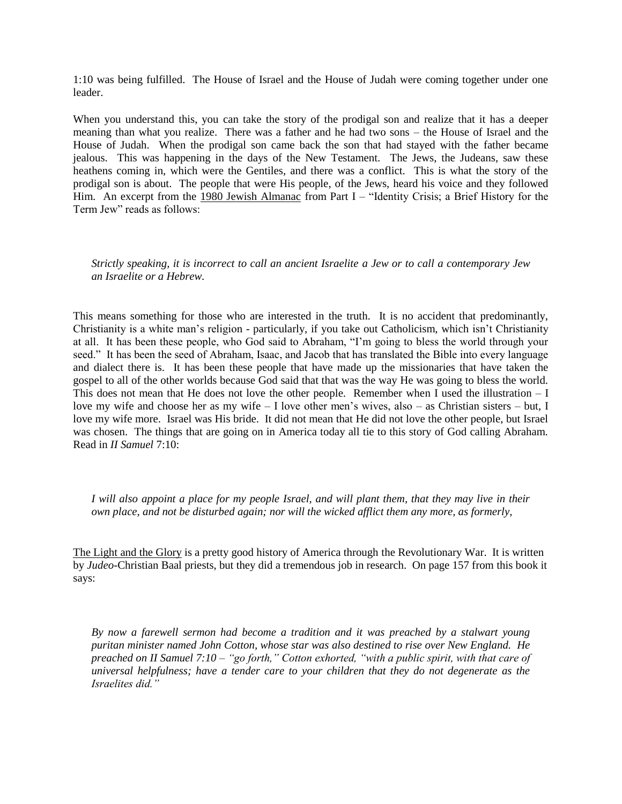1:10 was being fulfilled. The House of Israel and the House of Judah were coming together under one leader.

When you understand this, you can take the story of the prodigal son and realize that it has a deeper meaning than what you realize. There was a father and he had two sons – the House of Israel and the House of Judah. When the prodigal son came back the son that had stayed with the father became jealous. This was happening in the days of the New Testament. The Jews, the Judeans, saw these heathens coming in, which were the Gentiles, and there was a conflict. This is what the story of the prodigal son is about. The people that were His people, of the Jews, heard his voice and they followed Him. An excerpt from the 1980 Jewish Almanac from Part I – "Identity Crisis; a Brief History for the Term Jew" reads as follows:

*Strictly speaking, it is incorrect to call an ancient Israelite a Jew or to call a contemporary Jew an Israelite or a Hebrew.*

This means something for those who are interested in the truth. It is no accident that predominantly, Christianity is a white man's religion - particularly, if you take out Catholicism, which isn't Christianity at all. It has been these people, who God said to Abraham, "I'm going to bless the world through your seed." It has been the seed of Abraham, Isaac, and Jacob that has translated the Bible into every language and dialect there is. It has been these people that have made up the missionaries that have taken the gospel to all of the other worlds because God said that that was the way He was going to bless the world. This does not mean that He does not love the other people. Remember when I used the illustration – I love my wife and choose her as my wife – I love other men's wives, also – as Christian sisters – but, I love my wife more. Israel was His bride. It did not mean that He did not love the other people, but Israel was chosen. The things that are going on in America today all tie to this story of God calling Abraham. Read in *II Samuel* 7:10:

*I will also appoint a place for my people Israel, and will plant them, that they may live in their own place, and not be disturbed again; nor will the wicked afflict them any more, as formerly,*

The Light and the Glory is a pretty good history of America through the Revolutionary War. It is written by *Judeo-*Christian Baal priests, but they did a tremendous job in research. On page 157 from this book it says:

*By now a farewell sermon had become a tradition and it was preached by a stalwart young puritan minister named John Cotton, whose star was also destined to rise over New England. He preached on II Samuel 7:10 – "go forth," Cotton exhorted, "with a public spirit, with that care of universal helpfulness; have a tender care to your children that they do not degenerate as the Israelites did."*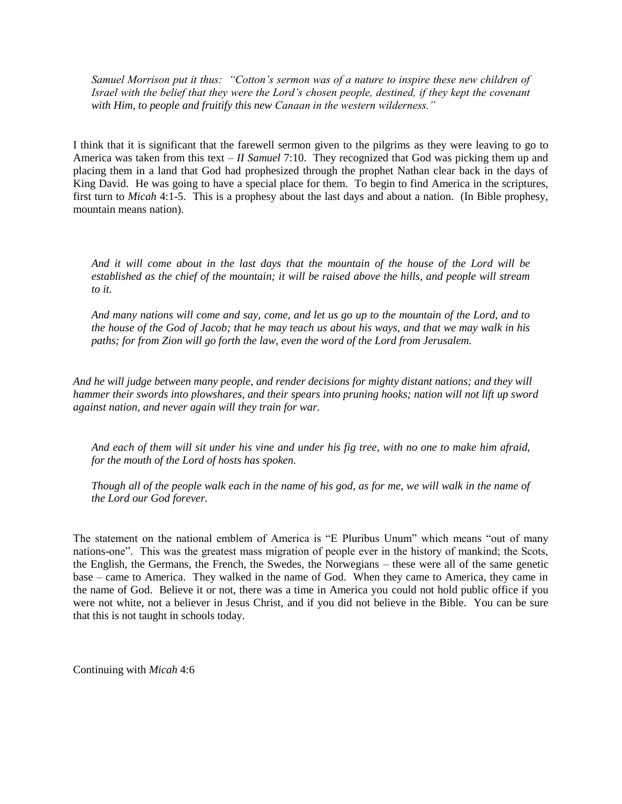*Samuel Morrison put it thus: "Cotton's sermon was of a nature to inspire these new children of Israel with the belief that they were the Lord's chosen people, destined, if they kept the covenant with Him, to people and fruitify this new Canaan in the western wilderness."*

I think that it is significant that the farewell sermon given to the pilgrims as they were leaving to go to America was taken from this text – *II Samuel* 7:10. They recognized that God was picking them up and placing them in a land that God had prophesized through the prophet Nathan clear back in the days of King David. He was going to have a special place for them. To begin to find America in the scriptures, first turn to *Micah* 4:1-5. This is a prophesy about the last days and about a nation. (In Bible prophesy, mountain means nation).

*And it will come about in the last days that the mountain of the house of the Lord will be established as the chief of the mountain; it will be raised above the hills, and people will stream to it.*

*And many nations will come and say, come, and let us go up to the mountain of the Lord, and to the house of the God of Jacob; that he may teach us about his ways, and that we may walk in his paths; for from Zion will go forth the law, even the word of the Lord from Jerusalem.*

*And he will judge between many people, and render decisions for mighty distant nations; and they will hammer their swords into plowshares, and their spears into pruning hooks; nation will not lift up sword against nation, and never again will they train for war.*

*And each of them will sit under his vine and under his fig tree, with no one to make him afraid, for the mouth of the Lord of hosts has spoken.*

*Though all of the people walk each in the name of his god, as for me, we will walk in the name of the Lord our God forever.*

The statement on the national emblem of America is "E Pluribus Unum" which means "out of many nations-one". This was the greatest mass migration of people ever in the history of mankind; the Scots, the English, the Germans, the French, the Swedes, the Norwegians – these were all of the same genetic base – came to America. They walked in the name of God. When they came to America, they came in the name of God. Believe it or not, there was a time in America you could not hold public office if you were not white, not a believer in Jesus Christ, and if you did not believe in the Bible. You can be sure that this is not taught in schools today.

Continuing with *Micah* 4:6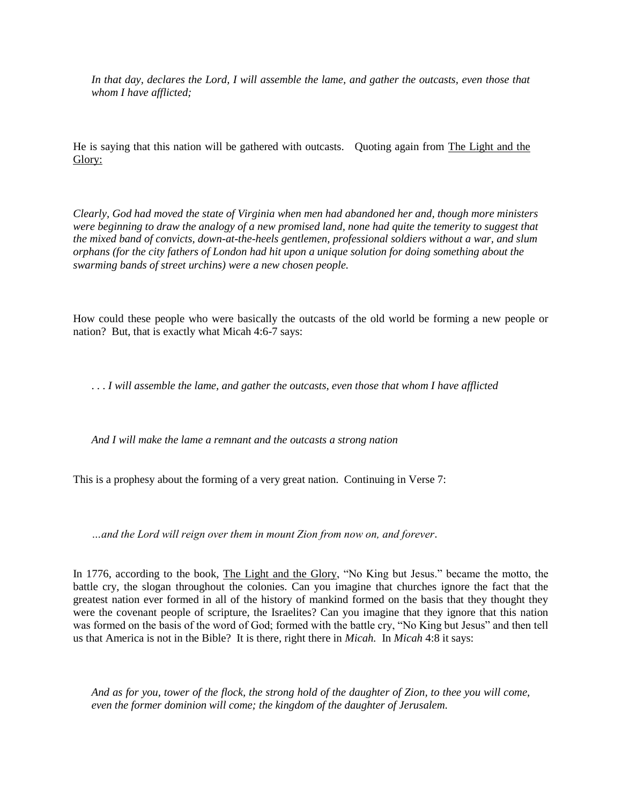*In that day, declares the Lord, I will assemble the lame, and gather the outcasts, even those that whom I have afflicted;*

He is saying that this nation will be gathered with outcasts. Quoting again from The Light and the Glory:

*Clearly, God had moved the state of Virginia when men had abandoned her and, though more ministers were beginning to draw the analogy of a new promised land, none had quite the temerity to suggest that the mixed band of convicts, down-at-the-heels gentlemen, professional soldiers without a war, and slum orphans (for the city fathers of London had hit upon a unique solution for doing something about the swarming bands of street urchins) were a new chosen people.* 

How could these people who were basically the outcasts of the old world be forming a new people or nation? But, that is exactly what Micah 4:6-7 says:

. . . *I will assemble the lame, and gather the outcasts, even those that whom I have afflicted*

*And I will make the lame a remnant and the outcasts a strong nation* 

This is a prophesy about the forming of a very great nation. Continuing in Verse 7:

*…and the Lord will reign over them in mount Zion from now on, and forever*.

In 1776, according to the book, The Light and the Glory, "No King but Jesus." became the motto, the battle cry, the slogan throughout the colonies. Can you imagine that churches ignore the fact that the greatest nation ever formed in all of the history of mankind formed on the basis that they thought they were the covenant people of scripture, the Israelites? Can you imagine that they ignore that this nation was formed on the basis of the word of God; formed with the battle cry, "No King but Jesus" and then tell us that America is not in the Bible? It is there, right there in *Micah.* In *Micah* 4:8 it says:

*And as for you, tower of the flock, the strong hold of the daughter of Zion, to thee you will come, even the former dominion will come; the kingdom of the daughter of Jerusalem.*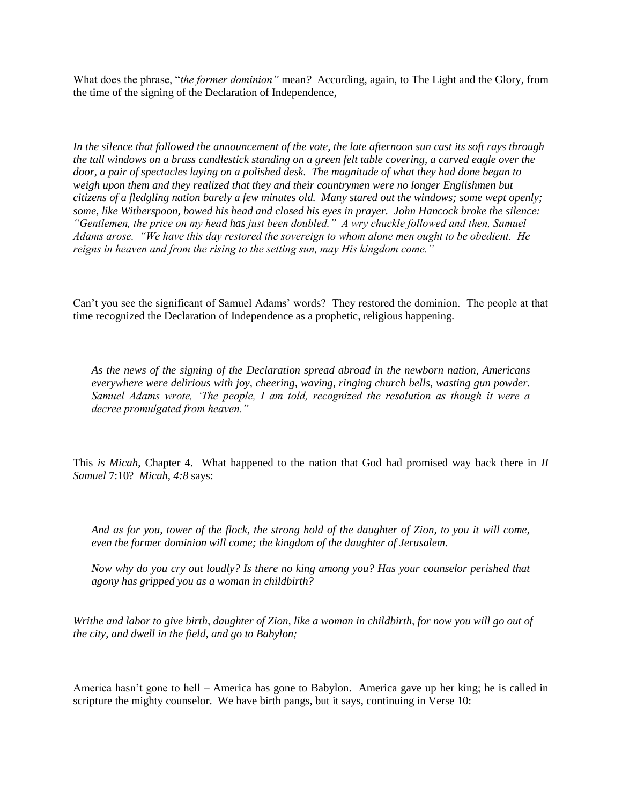What does the phrase, "*the former dominion"* mean*?* According, again, to The Light and the Glory, from the time of the signing of the Declaration of Independence,

*In the silence that followed the announcement of the vote, the late afternoon sun cast its soft rays through the tall windows on a brass candlestick standing on a green felt table covering, a carved eagle over the door, a pair of spectacles laying on a polished desk. The magnitude of what they had done began to weigh upon them and they realized that they and their countrymen were no longer Englishmen but citizens of a fledgling nation barely a few minutes old. Many stared out the windows; some wept openly; some, like Witherspoon, bowed his head and closed his eyes in prayer. John Hancock broke the silence: "Gentlemen, the price on my head has just been doubled." A wry chuckle followed and then, Samuel Adams arose. "We have this day restored the sovereign to whom alone men ought to be obedient. He reigns in heaven and from the rising to the setting sun, may His kingdom come."*

Can't you see the significant of Samuel Adams' words? They restored the dominion. The people at that time recognized the Declaration of Independence as a prophetic, religious happening.

*As the news of the signing of the Declaration spread abroad in the newborn nation, Americans everywhere were delirious with joy, cheering, waving, ringing church bells, wasting gun powder. Samuel Adams wrote, 'The people, I am told, recognized the resolution as though it were a decree promulgated from heaven."* 

This *is Micah*, Chapter 4. What happened to the nation that God had promised way back there in *II Samuel* 7:10? *Micah, 4:8* says:

*And as for you, tower of the flock, the strong hold of the daughter of Zion, to you it will come, even the former dominion will come; the kingdom of the daughter of Jerusalem.*

*Now why do you cry out loudly? Is there no king among you? Has your counselor perished that agony has gripped you as a woman in childbirth?*

*Writhe and labor to give birth, daughter of Zion, like a woman in childbirth, for now you will go out of the city, and dwell in the field, and go to Babylon;* 

America hasn't gone to hell – America has gone to Babylon. America gave up her king; he is called in scripture the mighty counselor. We have birth pangs, but it says, continuing in Verse 10: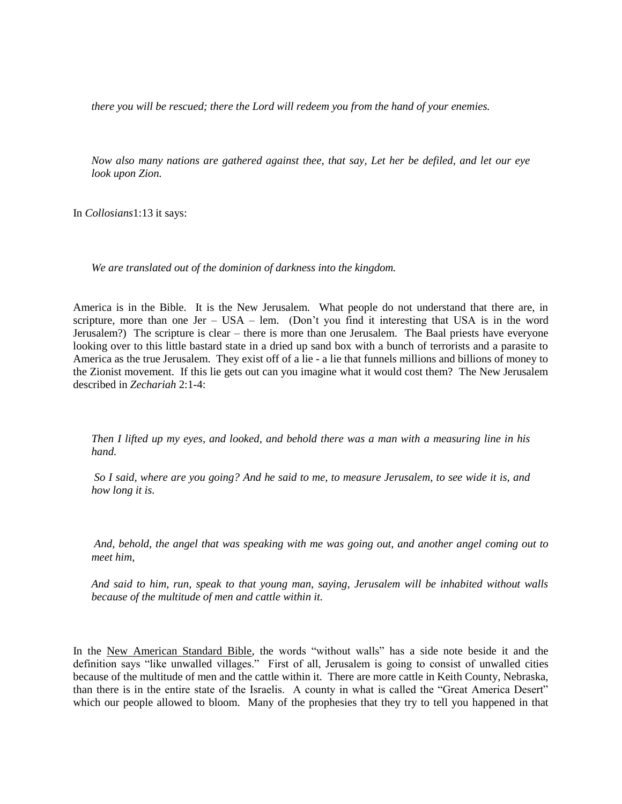*there you will be rescued; there the Lord will redeem you from the hand of your enemies.*

*Now also many nations are gathered against thee, that say, Let her be defiled, and let our eye look upon Zion.*

In *Collosians*1:13 it says:

*We are translated out of the dominion of darkness into the kingdom.*

America is in the Bible. It is the New Jerusalem. What people do not understand that there are, in scripture, more than one Jer – USA – lem. (Don't you find it interesting that USA is in the word Jerusalem?) The scripture is clear – there is more than one Jerusalem. The Baal priests have everyone looking over to this little bastard state in a dried up sand box with a bunch of terrorists and a parasite to America as the true Jerusalem. They exist off of a lie - a lie that funnels millions and billions of money to the Zionist movement. If this lie gets out can you imagine what it would cost them? The New Jerusalem described in *Zechariah* 2:1-4:

*Then I lifted up my eyes, and looked, and behold there was a man with a measuring line in his hand.*

*So I said, where are you going? And he said to me, to measure Jerusalem, to see wide it is, and how long it is.*

*And, behold, the angel that was speaking with me was going out, and another angel coming out to meet him,*

*And said to him, run, speak to that young man, saying, Jerusalem will be inhabited without walls because of the multitude of men and cattle within it.*

In the New American Standard Bible, the words "without walls" has a side note beside it and the definition says "like unwalled villages." First of all, Jerusalem is going to consist of unwalled cities because of the multitude of men and the cattle within it. There are more cattle in Keith County, Nebraska, than there is in the entire state of the Israelis. A county in what is called the "Great America Desert" which our people allowed to bloom. Many of the prophesies that they try to tell you happened in that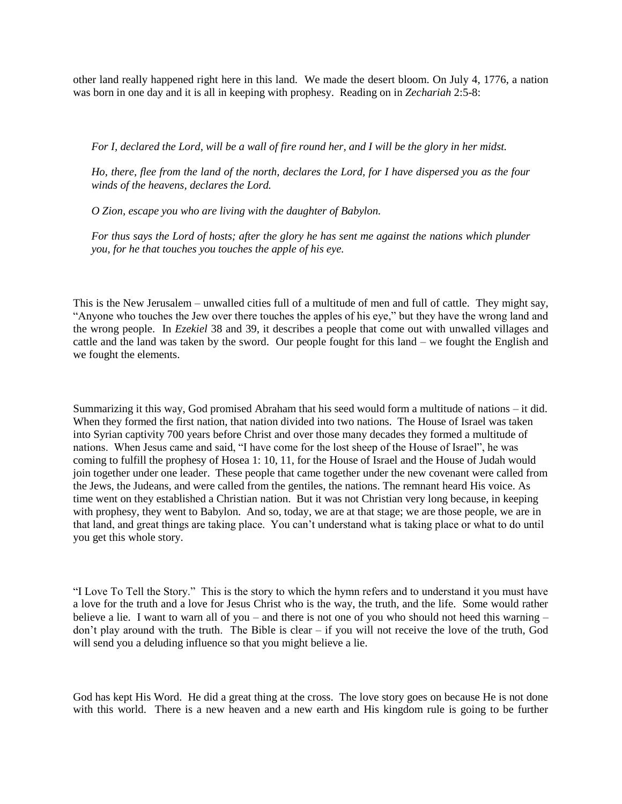other land really happened right here in this land. We made the desert bloom. On July 4, 1776, a nation was born in one day and it is all in keeping with prophesy. Reading on in *Zechariah* 2:5-8:

*For I, declared the Lord, will be a wall of fire round her, and I will be the glory in her midst.*

*Ho, there, flee from the land of the north, declares the Lord, for I have dispersed you as the four winds of the heavens, declares the Lord.*

*O Zion, escape you who are living with the daughter of Babylon.*

*For thus says the Lord of hosts; after the glory he has sent me against the nations which plunder you, for he that touches you touches the apple of his eye.*

This is the New Jerusalem – unwalled cities full of a multitude of men and full of cattle. They might say, "Anyone who touches the Jew over there touches the apples of his eye," but they have the wrong land and the wrong people. In *Ezekiel* 38 and 39, it describes a people that come out with unwalled villages and cattle and the land was taken by the sword. Our people fought for this land – we fought the English and we fought the elements.

Summarizing it this way, God promised Abraham that his seed would form a multitude of nations – it did. When they formed the first nation, that nation divided into two nations. The House of Israel was taken into Syrian captivity 700 years before Christ and over those many decades they formed a multitude of nations. When Jesus came and said, "I have come for the lost sheep of the House of Israel", he was coming to fulfill the prophesy of Hosea 1: 10, 11, for the House of Israel and the House of Judah would join together under one leader. These people that came together under the new covenant were called from the Jews, the Judeans, and were called from the gentiles, the nations. The remnant heard His voice. As time went on they established a Christian nation. But it was not Christian very long because, in keeping with prophesy, they went to Babylon. And so, today, we are at that stage; we are those people, we are in that land, and great things are taking place. You can't understand what is taking place or what to do until you get this whole story.

"I Love To Tell the Story." This is the story to which the hymn refers and to understand it you must have a love for the truth and a love for Jesus Christ who is the way, the truth, and the life. Some would rather believe a lie. I want to warn all of you – and there is not one of you who should not heed this warning – don't play around with the truth. The Bible is clear – if you will not receive the love of the truth, God will send you a deluding influence so that you might believe a lie.

God has kept His Word. He did a great thing at the cross. The love story goes on because He is not done with this world. There is a new heaven and a new earth and His kingdom rule is going to be further